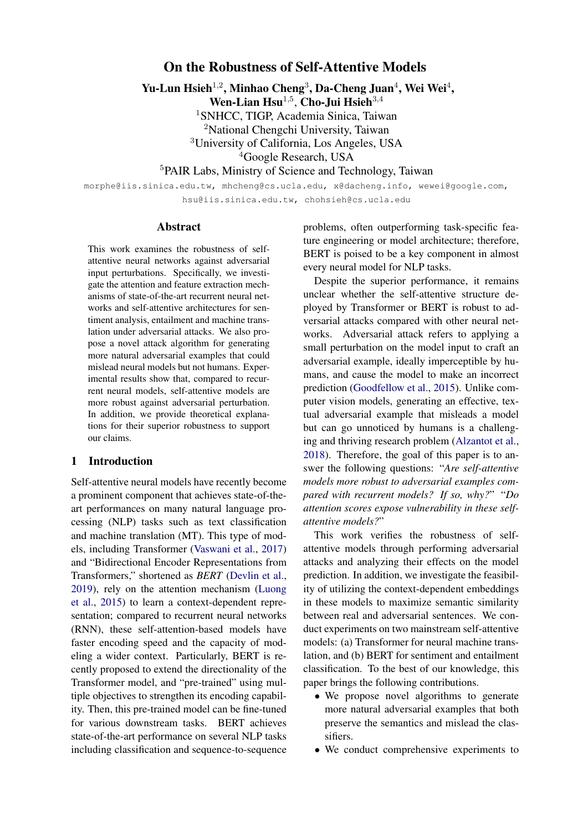### On the Robustness of Self-Attentive Models

Yu-Lun Hsieh<sup>1,2</sup>, Minhao Cheng<sup>3</sup>, Da-Cheng Juan<sup>4</sup>, Wei Wei<sup>4</sup>,

Wen-Lian  $\text{Hsu}^{1,5}$ , Cho-Jui  $\text{Hsieh}^{3,4}$ 

<sup>1</sup>SNHCC, TIGP, Academia Sinica, Taiwan

<sup>2</sup>National Chengchi University, Taiwan

<sup>3</sup>University of California, Los Angeles, USA

<sup>4</sup>Google Research, USA

<sup>5</sup>PAIR Labs, Ministry of Science and Technology, Taiwan

morphe@iis.sinica.edu.tw, mhcheng@cs.ucla.edu, x@dacheng.info, wewei@google.com, hsu@iis.sinica.edu.tw, chohsieh@cs.ucla.edu

#### Abstract

This work examines the robustness of selfattentive neural networks against adversarial input perturbations. Specifically, we investigate the attention and feature extraction mechanisms of state-of-the-art recurrent neural networks and self-attentive architectures for sentiment analysis, entailment and machine translation under adversarial attacks. We also propose a novel attack algorithm for generating more natural adversarial examples that could mislead neural models but not humans. Experimental results show that, compared to recurrent neural models, self-attentive models are more robust against adversarial perturbation. In addition, we provide theoretical explanations for their superior robustness to support our claims.

### 1 Introduction

Self-attentive neural models have recently become a prominent component that achieves state-of-theart performances on many natural language processing (NLP) tasks such as text classification and machine translation (MT). This type of models, including Transformer [\(Vaswani et al.,](#page-9-0) [2017\)](#page-9-0) and "Bidirectional Encoder Representations from Transformers," shortened as *BERT* [\(Devlin et al.,](#page-8-0) [2019\)](#page-8-0), rely on the attention mechanism [\(Luong](#page-9-1) [et al.,](#page-9-1) [2015\)](#page-9-1) to learn a context-dependent representation; compared to recurrent neural networks (RNN), these self-attention-based models have faster encoding speed and the capacity of modeling a wider context. Particularly, BERT is recently proposed to extend the directionality of the Transformer model, and "pre-trained" using multiple objectives to strengthen its encoding capability. Then, this pre-trained model can be fine-tuned for various downstream tasks. BERT achieves state-of-the-art performance on several NLP tasks including classification and sequence-to-sequence problems, often outperforming task-specific feature engineering or model architecture; therefore, BERT is poised to be a key component in almost every neural model for NLP tasks.

Despite the superior performance, it remains unclear whether the self-attentive structure deployed by Transformer or BERT is robust to adversarial attacks compared with other neural networks. Adversarial attack refers to applying a small perturbation on the model input to craft an adversarial example, ideally imperceptible by humans, and cause the model to make an incorrect prediction [\(Goodfellow et al.,](#page-8-1) [2015\)](#page-8-1). Unlike computer vision models, generating an effective, textual adversarial example that misleads a model but can go unnoticed by humans is a challenging and thriving research problem [\(Alzantot et al.,](#page-8-2) [2018\)](#page-8-2). Therefore, the goal of this paper is to answer the following questions: "*Are self-attentive models more robust to adversarial examples compared with recurrent models? If so, why?*" "*Do attention scores expose vulnerability in these selfattentive models?*"

This work verifies the robustness of selfattentive models through performing adversarial attacks and analyzing their effects on the model prediction. In addition, we investigate the feasibility of utilizing the context-dependent embeddings in these models to maximize semantic similarity between real and adversarial sentences. We conduct experiments on two mainstream self-attentive models: (a) Transformer for neural machine translation, and (b) BERT for sentiment and entailment classification. To the best of our knowledge, this paper brings the following contributions.

- We propose novel algorithms to generate more natural adversarial examples that both preserve the semantics and mislead the classifiers.
- We conduct comprehensive experiments to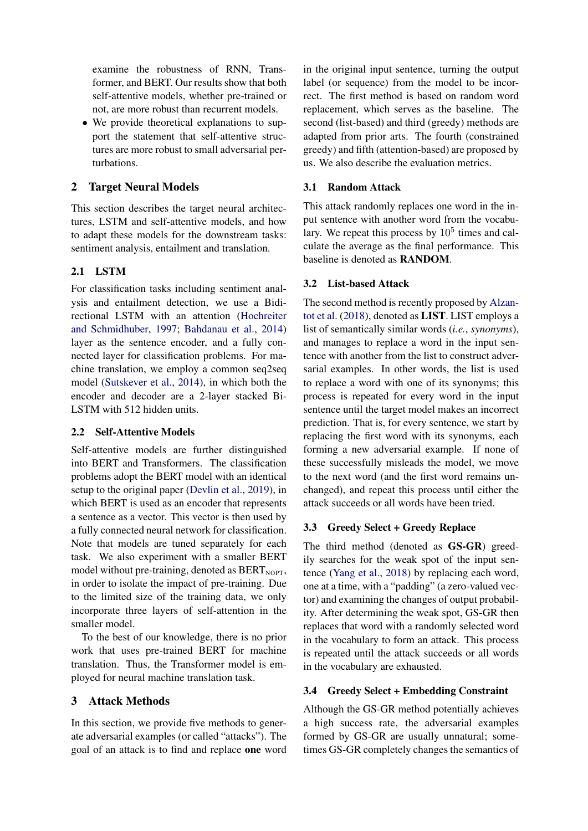examine the robustness of RNN, Transformer, and BERT. Our results show that both self-attentive models, whether pre-trained or not, are more robust than recurrent models.

• We provide theoretical explanations to support the statement that self-attentive structures are more robust to small adversarial perturbations.

# 2 Target Neural Models

This section describes the target neural architectures, LSTM and self-attentive models, and how to adapt these models for the downstream tasks: sentiment analysis, entailment and translation.

# 2.1 LSTM

For classification tasks including sentiment analysis and entailment detection, we use a Bidirectional LSTM with an attention [\(Hochreiter](#page-8-3) [and Schmidhuber,](#page-8-3) [1997;](#page-8-3) [Bahdanau et al.,](#page-8-4) [2014\)](#page-8-4) layer as the sentence encoder, and a fully connected layer for classification problems. For machine translation, we employ a common seq2seq model [\(Sutskever et al.,](#page-9-2) [2014\)](#page-9-2), in which both the encoder and decoder are a 2-layer stacked Bi-LSTM with 512 hidden units.

# 2.2 Self-Attentive Models

Self-attentive models are further distinguished into BERT and Transformers. The classification problems adopt the BERT model with an identical setup to the original paper [\(Devlin et al.,](#page-8-0) [2019\)](#page-8-0), in which BERT is used as an encoder that represents a sentence as a vector. This vector is then used by a fully connected neural network for classification. Note that models are tuned separately for each task. We also experiment with a smaller BERT model without pre-training, denoted as  $BERT<sub>NOTE</sub>$ , in order to isolate the impact of pre-training. Due to the limited size of the training data, we only incorporate three layers of self-attention in the smaller model.

To the best of our knowledge, there is no prior work that uses pre-trained BERT for machine translation. Thus, the Transformer model is employed for neural machine translation task.

# 3 Attack Methods

In this section, we provide five methods to generate adversarial examples (or called "attacks"). The goal of an attack is to find and replace one word

in the original input sentence, turning the output label (or sequence) from the model to be incorrect. The first method is based on random word replacement, which serves as the baseline. The second (list-based) and third (greedy) methods are adapted from prior arts. The fourth (constrained greedy) and fifth (attention-based) are proposed by us. We also describe the evaluation metrics.

# 3.1 Random Attack

This attack randomly replaces one word in the input sentence with another word from the vocabulary. We repeat this process by  $10^5$  times and calculate the average as the final performance. This baseline is denoted as RANDOM.

### 3.2 List-based Attack

The second method is recently proposed by [Alzan](#page-8-2)[tot et al.](#page-8-2) [\(2018\)](#page-8-2), denoted as LIST. LIST employs a list of semantically similar words (*i.e.*, *synonyms*), and manages to replace a word in the input sentence with another from the list to construct adversarial examples. In other words, the list is used to replace a word with one of its synonyms; this process is repeated for every word in the input sentence until the target model makes an incorrect prediction. That is, for every sentence, we start by replacing the first word with its synonyms, each forming a new adversarial example. If none of these successfully misleads the model, we move to the next word (and the first word remains unchanged), and repeat this process until either the attack succeeds or all words have been tried.

# 3.3 Greedy Select + Greedy Replace

The third method (denoted as GS-GR) greedily searches for the weak spot of the input sentence [\(Yang et al.,](#page-9-3) [2018\)](#page-9-3) by replacing each word, one at a time, with a "padding" (a zero-valued vector) and examining the changes of output probability. After determining the weak spot, GS-GR then replaces that word with a randomly selected word in the vocabulary to form an attack. This process is repeated until the attack succeeds or all words in the vocabulary are exhausted.

# 3.4 Greedy Select + Embedding Constraint

Although the GS-GR method potentially achieves a high success rate, the adversarial examples formed by GS-GR are usually unnatural; sometimes GS-GR completely changes the semantics of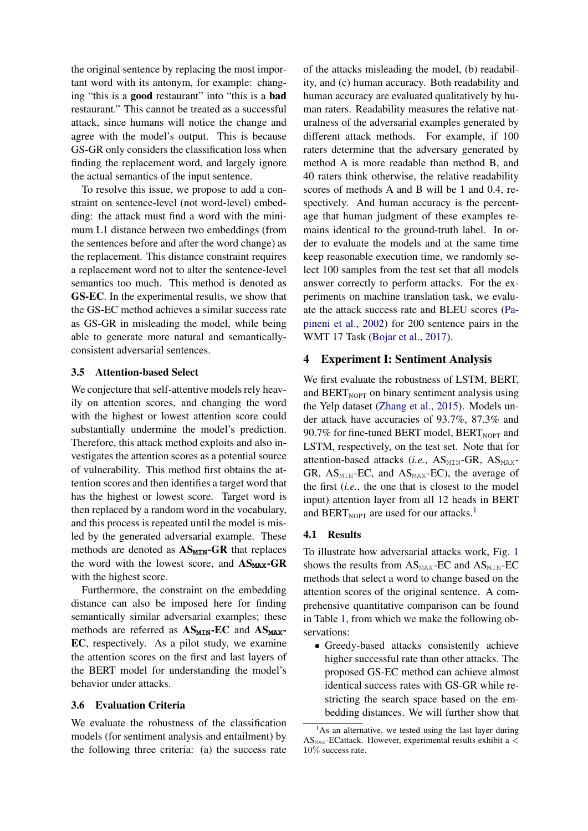the original sentence by replacing the most important word with its antonym, for example: changing "this is a good restaurant" into "this is a bad restaurant." This cannot be treated as a successful attack, since humans will notice the change and agree with the model's output. This is because GS-GR only considers the classification loss when finding the replacement word, and largely ignore the actual semantics of the input sentence.

To resolve this issue, we propose to add a constraint on sentence-level (not word-level) embedding: the attack must find a word with the minimum L1 distance between two embeddings (from the sentences before and after the word change) as the replacement. This distance constraint requires a replacement word not to alter the sentence-level semantics too much. This method is denoted as GS-EC. In the experimental results, we show that the GS-EC method achieves a similar success rate as GS-GR in misleading the model, while being able to generate more natural and semanticallyconsistent adversarial sentences.

#### 3.5 Attention-based Select

We conjecture that self-attentive models rely heavily on attention scores, and changing the word with the highest or lowest attention score could substantially undermine the model's prediction. Therefore, this attack method exploits and also investigates the attention scores as a potential source of vulnerability. This method first obtains the attention scores and then identifies a target word that has the highest or lowest score. Target word is then replaced by a random word in the vocabulary, and this process is repeated until the model is misled by the generated adversarial example. These methods are denoted as  $AS_{MIN}-GR$  that replaces the word with the lowest score, and  $AS_{MAX}$ -GR with the highest score.

Furthermore, the constraint on the embedding distance can also be imposed here for finding semantically similar adversarial examples; these methods are referred as  $AS_{MIN}$ -EC and  $AS_{MAX}$ -EC, respectively. As a pilot study, we examine the attention scores on the first and last layers of the BERT model for understanding the model's behavior under attacks.

#### <span id="page-2-1"></span>3.6 Evaluation Criteria

We evaluate the robustness of the classification models (for sentiment analysis and entailment) by the following three criteria: (a) the success rate

of the attacks misleading the model, (b) readability, and (c) human accuracy. Both readability and human accuracy are evaluated qualitatively by human raters. Readability measures the relative naturalness of the adversarial examples generated by different attack methods. For example, if 100 raters determine that the adversary generated by method A is more readable than method B, and 40 raters think otherwise, the relative readability scores of methods A and B will be 1 and 0.4, respectively. And human accuracy is the percentage that human judgment of these examples remains identical to the ground-truth label. In order to evaluate the models and at the same time keep reasonable execution time, we randomly select 100 samples from the test set that all models answer correctly to perform attacks. For the experiments on machine translation task, we evaluate the attack success rate and BLEU scores [\(Pa](#page-9-4)[pineni et al.,](#page-9-4) [2002\)](#page-9-4) for 200 sentence pairs in the WMT 17 Task [\(Bojar et al.,](#page-8-5) [2017\)](#page-8-5).

#### 4 Experiment I: Sentiment Analysis

We first evaluate the robustness of LSTM, BERT, and BERT $_{\text{NOPT}}$  on binary sentiment analysis using the Yelp dataset [\(Zhang et al.,](#page-9-5) [2015\)](#page-9-5). Models under attack have accuracies of 93.7%, 87.3% and 90.7% for fine-tuned BERT model,  $BERT<sub>NOPT</sub>$  and LSTM, respectively, on the test set. Note that for attention-based attacks (*i.e.*, AS<sub>MIN</sub>-GR, AS<sub>MAX</sub>-GR,  $AS_{MTN}$ -EC, and  $AS_{MAX}$ -EC), the average of the first (*i.e.*, the one that is closest to the model input) attention layer from all 12 heads in BERT and BERT<sub>NOPT</sub> are used for our attacks.<sup>[1](#page-2-0)</sup>

#### 4.1 Results

To illustrate how adversarial attacks work, Fig. [1](#page-3-0) shows the results from  $AS_{MAX}$ -EC and  $AS_{MIN}$ -EC methods that select a word to change based on the attention scores of the original sentence. A comprehensive quantitative comparison can be found in Table [1,](#page-3-1) from which we make the following observations:

• Greedy-based attacks consistently achieve higher successful rate than other attacks. The proposed GS-EC method can achieve almost identical success rates with GS-GR while restricting the search space based on the embedding distances. We will further show that

<span id="page-2-0"></span> $<sup>1</sup>$ As an alternative, we tested using the last layer during</sup>  $AS_{MAX}$ -ECattack. However, experimental results exhibit a  $\lt$ 10% success rate.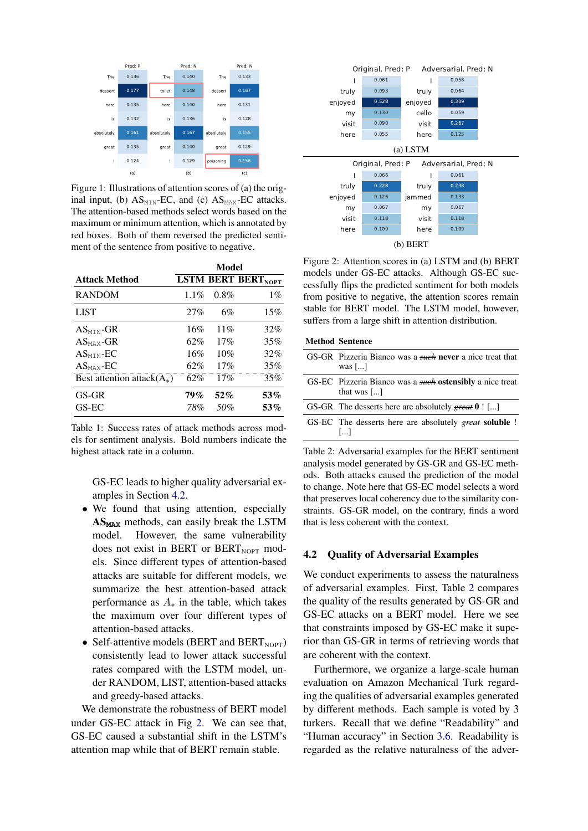<span id="page-3-0"></span>

Figure 1: Illustrations of attention scores of (a) the original input, (b)  $AS_{MIN}$ -EC, and (c)  $AS_{MAX}$ -EC attacks. The attention-based methods select words based on the maximum or minimum attention, which is annotated by red boxes. Both of them reversed the predicted sentiment of the sentence from positive to negative.

<span id="page-3-1"></span>

|                               |         | Model   |                           |
|-------------------------------|---------|---------|---------------------------|
| <b>Attack Method</b>          |         |         | <b>LSTM BERT BERTNOPT</b> |
| <b>RANDOM</b>                 | $1.1\%$ | $0.8\%$ | $1\%$                     |
| LIST                          | 27%     | 6%      | 15%                       |
| $AS_{\text{MIN}}$ -GR         | 16%     | 11%     | 32%                       |
| $AS_{MAX}$ -GR                | 62%     | 17%     | 35%                       |
| $AS_{MIN}$ -EC                | 16%     | 10%     | 32%                       |
| $AS_{MAX}$ -EC                | 62%     | 17%     | 35%                       |
| Best attention attack $(A_*)$ | 62%     | 17%     | 35%                       |
| GS-GR                         | 79%     | 52%     | 53%                       |
| GS-EC                         | 78%     | .50%    | 53%                       |

Table 1: Success rates of attack methods across models for sentiment analysis. Bold numbers indicate the highest attack rate in a column.

GS-EC leads to higher quality adversarial examples in Section [4.2.](#page-3-2)

- We found that using attention, especially AS**MAX** methods, can easily break the LSTM model. However, the same vulnerability does not exist in BERT or BERT<sub>NOPT</sub> models. Since different types of attention-based attacks are suitable for different models, we summarize the best attention-based attack performance as  $A_*$  in the table, which takes the maximum over four different types of attention-based attacks.
- Self-attentive models (BERT and BERT<sub>NOPT</sub>) consistently lead to lower attack successful rates compared with the LSTM model, under RANDOM, LIST, attention-based attacks and greedy-based attacks.

We demonstrate the robustness of BERT model under GS-EC attack in Fig [2.](#page-3-3) We can see that, GS-EC caused a substantial shift in the LSTM's attention map while that of BERT remain stable.

<span id="page-3-3"></span>

Figure 2: Attention scores in (a) LSTM and (b) BERT models under GS-EC attacks. Although GS-EC successfully flips the predicted sentiment for both models from positive to negative, the attention scores remain stable for BERT model. The LSTM model, however, suffers from a large shift in attention distribution.

<span id="page-3-4"></span>

| <b>Method Sentence</b> |
|------------------------|
|------------------------|

| GS-GR Pizzeria Bianco was a such never a nice treat that<br>was [ $\dots$ ]                        |
|----------------------------------------------------------------------------------------------------|
| GS-EC Pizzeria Bianco was a <i>such</i> ostensibly a nice treat<br>that was $\lceil \ldots \rceil$ |
| GS-GR The desserts here are absolutely great $0$ ! []                                              |
| GS-EC The desserts here are absolutely great soluble !<br>$\left   \right $                        |
|                                                                                                    |

Table 2: Adversarial examples for the BERT sentiment analysis model generated by GS-GR and GS-EC methods. Both attacks caused the prediction of the model to change. Note here that GS-EC model selects a word that preserves local coherency due to the similarity constraints. GS-GR model, on the contrary, finds a word that is less coherent with the context.

#### <span id="page-3-2"></span>4.2 Quality of Adversarial Examples

We conduct experiments to assess the naturalness of adversarial examples. First, Table [2](#page-3-4) compares the quality of the results generated by GS-GR and GS-EC attacks on a BERT model. Here we see that constraints imposed by GS-EC make it superior than GS-GR in terms of retrieving words that are coherent with the context.

Furthermore, we organize a large-scale human evaluation on Amazon Mechanical Turk regarding the qualities of adversarial examples generated by different methods. Each sample is voted by 3 turkers. Recall that we define "Readability" and "Human accuracy" in Section [3.6.](#page-2-1) Readability is regarded as the relative naturalness of the adver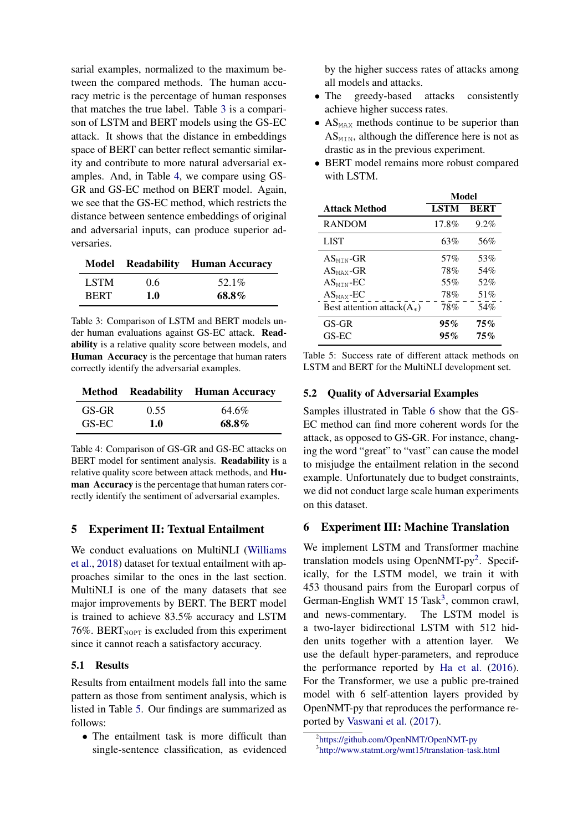sarial examples, normalized to the maximum between the compared methods. The human accuracy metric is the percentage of human responses that matches the true label. Table [3](#page-4-0) is a comparison of LSTM and BERT models using the GS-EC attack. It shows that the distance in embeddings space of BERT can better reflect semantic similarity and contribute to more natural adversarial examples. And, in Table [4,](#page-4-0) we compare using GS-GR and GS-EC method on BERT model. Again, we see that the GS-EC method, which restricts the distance between sentence embeddings of original and adversarial inputs, can produce superior adversaries.

<span id="page-4-0"></span>

|      |     | <b>Model Readability Human Accuracy</b> |
|------|-----|-----------------------------------------|
| LSTM | 0.6 | 52.1%                                   |
| BERT | 1.0 | 68.8%                                   |

Table 3: Comparison of LSTM and BERT models under human evaluations against GS-EC attack. Readability is a relative quality score between models, and Human Accuracy is the percentage that human raters correctly identify the adversarial examples.

|       |      | <b>Method</b> Readability Human Accuracy |
|-------|------|------------------------------------------|
| GS-GR | 0.55 | 64.6%                                    |
| GS-EC | 1.0  | 68.8%                                    |

Table 4: Comparison of GS-GR and GS-EC attacks on BERT model for sentiment analysis. **Readability** is a relative quality score between attack methods, and Human Accuracy is the percentage that human raters correctly identify the sentiment of adversarial examples.

#### 5 Experiment II: Textual Entailment

We conduct evaluations on MultiNLI [\(Williams](#page-9-6) [et al.,](#page-9-6) [2018\)](#page-9-6) dataset for textual entailment with approaches similar to the ones in the last section. MultiNLI is one of the many datasets that see major improvements by BERT. The BERT model is trained to achieve 83.5% accuracy and LSTM 76%. BERT $_{\text{NOPT}}$  is excluded from this experiment since it cannot reach a satisfactory accuracy.

#### 5.1 Results

Results from entailment models fall into the same pattern as those from sentiment analysis, which is listed in Table [5.](#page-4-1) Our findings are summarized as follows:

• The entailment task is more difficult than single-sentence classification, as evidenced by the higher success rates of attacks among all models and attacks.

- The greedy-based attacks consistently achieve higher success rates.
- $AS<sub>MAX</sub>$  methods continue to be superior than  $AS<sub>MTN</sub>$ , although the difference here is not as drastic as in the previous experiment.
- BERT model remains more robust compared with LSTM.

<span id="page-4-1"></span>

|                               | Model       |             |
|-------------------------------|-------------|-------------|
| <b>Attack Method</b>          | <b>LSTM</b> | <b>BERT</b> |
| <b>RANDOM</b>                 | 17.8%       | 9.2%        |
| LIST                          | 63%         | 56%         |
| $AS_{\text{MIN}}$ -GR         | 57%         | 53%         |
| $AS_{MAX}$ -GR                | 78%         | 54%         |
| $AS_{\text{MIN}}$ -EC         | 55%         | 52%         |
| $AS_{MAX}$ -EC                | 78%         | 51%         |
| Best attention attack $(A_*)$ | 78%         | 54%         |
| $GS-GR$                       | $95\%$      | $75\%$      |
| GS-EC                         | $95\%$      | 75%         |

Table 5: Success rate of different attack methods on LSTM and BERT for the MultiNLI development set.

#### 5.2 Quality of Adversarial Examples

Samples illustrated in Table [6](#page-5-0) show that the GS-EC method can find more coherent words for the attack, as opposed to GS-GR. For instance, changing the word "great" to "vast" can cause the model to misjudge the entailment relation in the second example. Unfortunately due to budget constraints, we did not conduct large scale human experiments on this dataset.

### 6 Experiment III: Machine Translation

We implement LSTM and Transformer machine translation models using OpenNMT-py<sup>[2](#page-4-2)</sup>. Specifically, for the LSTM model, we train it with 453 thousand pairs from the Europarl corpus of German-English WMT 15 Task<sup>[3](#page-4-3)</sup>, common crawl, and news-commentary. The LSTM model is a two-layer bidirectional LSTM with 512 hidden units together with a attention layer. We use the default hyper-parameters, and reproduce the performance reported by [Ha et al.](#page-8-6) [\(2016\)](#page-8-6). For the Transformer, we use a public pre-trained model with 6 self-attention layers provided by OpenNMT-py that reproduces the performance reported by [Vaswani et al.](#page-9-0) [\(2017\)](#page-9-0).

<span id="page-4-2"></span><sup>2</sup> <https://github.com/OpenNMT/OpenNMT-py>

<span id="page-4-3"></span><sup>3</sup> <http://www.statmt.org/wmt15/translation-task.html>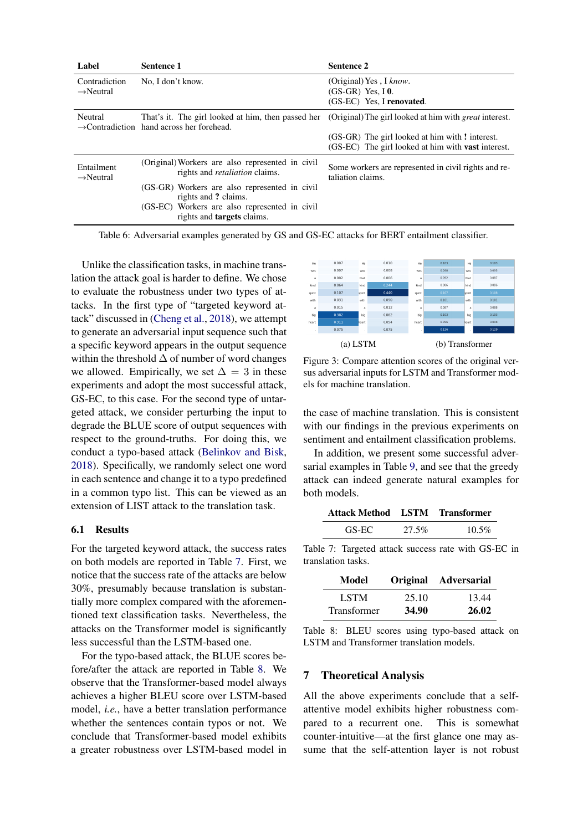<span id="page-5-0"></span>

| Label                               | <b>Sentence 1</b>                                                                         | <b>Sentence 2</b>                                                                                         |
|-------------------------------------|-------------------------------------------------------------------------------------------|-----------------------------------------------------------------------------------------------------------|
| Contradiction                       | No. I don't know.                                                                         | (Original) Yes, I know.                                                                                   |
| $\rightarrow$ Neutral               |                                                                                           | $(GS-GR)$ Yes, I 0.                                                                                       |
|                                     |                                                                                           | (GS-EC) Yes, I renovated.                                                                                 |
| Neutral                             | $\rightarrow$ Contradiction hand across her forehead.                                     | That's it. The girl looked at him, then passed her (Original) The girl looked at him with great interest. |
|                                     |                                                                                           | (GS-GR) The girl looked at him with ! interest.                                                           |
|                                     |                                                                                           | (GS-EC) The girl looked at him with <b>vast</b> interest.                                                 |
| Entailment<br>$\rightarrow$ Neutral | (Original) Workers are also represented in civil<br>rights and <i>retaliation</i> claims. | Some workers are represented in civil rights and re-<br>taliation claims.                                 |
|                                     | (GS-GR) Workers are also represented in civil<br>rights and ? claims.                     |                                                                                                           |
|                                     | (GS-EC) Workers are also represented in civil<br>rights and <b>targets</b> claims.        |                                                                                                           |
|                                     |                                                                                           |                                                                                                           |

Table 6: Adversarial examples generated by GS and GS-EC attacks for BERT entailment classifier.

Unlike the classification tasks, in machine translation the attack goal is harder to define. We chose to evaluate the robustness under two types of attacks. In the first type of "targeted keyword attack" discussed in [\(Cheng et al.,](#page-8-7) [2018\)](#page-8-7), we attempt to generate an adversarial input sequence such that a specific keyword appears in the output sequence within the threshold  $\Delta$  of number of word changes we allowed. Empirically, we set  $\Delta = 3$  in these experiments and adopt the most successful attack, GS-EC, to this case. For the second type of untargeted attack, we consider perturbing the input to degrade the BLUE score of output sequences with respect to the ground-truths. For doing this, we conduct a typo-based attack [\(Belinkov and Bisk,](#page-8-8) [2018\)](#page-8-8). Specifically, we randomly select one word in each sentence and change it to a typo predefined in a common typo list. This can be viewed as an extension of LIST attack to the translation task.

#### 6.1 Results

For the targeted keyword attack, the success rates on both models are reported in Table [7.](#page-5-1) First, we notice that the success rate of the attacks are below 30%, presumably because translation is substantially more complex compared with the aforementioned text classification tasks. Nevertheless, the attacks on the Transformer model is significantly less successful than the LSTM-based one.

For the typo-based attack, the BLUE scores before/after the attack are reported in Table [8.](#page-5-1) We observe that the Transformer-based model always achieves a higher BLEU score over LSTM-based model, *i.e.*, have a better translation performance whether the sentences contain typos or not. We conclude that Transformer-based model exhibits a greater robustness over LSTM-based model in



Figure 3: Compare attention scores of the original versus adversarial inputs for LSTM and Transformer models for machine translation.

the case of machine translation. This is consistent with our findings in the previous experiments on sentiment and entailment classification problems.

In addition, we present some successful adversarial examples in Table [9,](#page-6-0) and see that the greedy attack can indeed generate natural examples for both models.

<span id="page-5-1"></span>

| Attack Method LSTM Transformer |       |          |
|--------------------------------|-------|----------|
| GS-EC                          | 27.5% | $10.5\%$ |

Table 7: Targeted attack success rate with GS-EC in translation tasks.

| Model              |       | Original Adversarial |
|--------------------|-------|----------------------|
| <b>LSTM</b>        | 25.10 | 13.44                |
| <b>Transformer</b> | 34.90 | 26.02                |

Table 8: BLEU scores using typo-based attack on LSTM and Transformer translation models.

## 7 Theoretical Analysis

All the above experiments conclude that a selfattentive model exhibits higher robustness compared to a recurrent one. This is somewhat counter-intuitive—at the first glance one may assume that the self-attention layer is not robust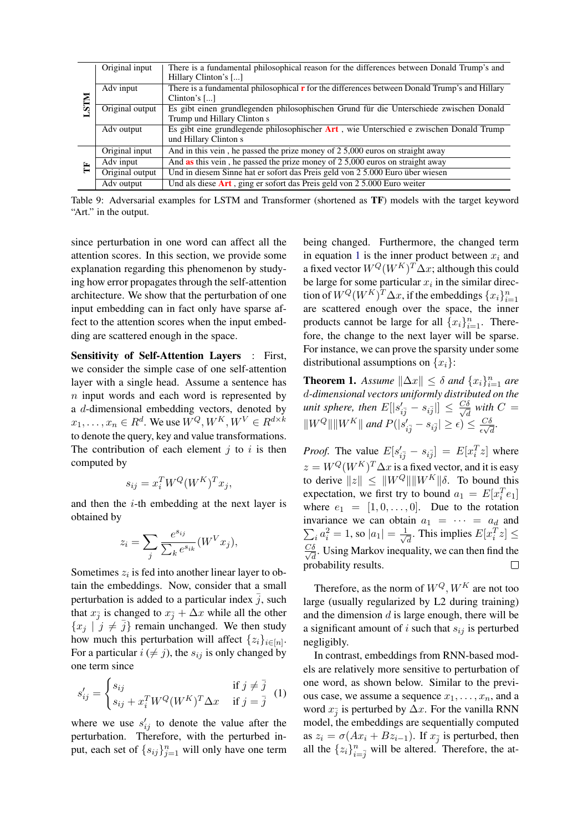<span id="page-6-0"></span>

|             | Original input  | There is a fundamental philosophical reason for the differences between Donald Trump's and           |
|-------------|-----------------|------------------------------------------------------------------------------------------------------|
|             |                 | Hillary Clinton's []                                                                                 |
| <b>NIST</b> | Adv input       | There is a fundamental philosophical <b>r</b> for the differences between Donald Trump's and Hillary |
|             |                 | Clinton's $[\dots]$                                                                                  |
|             | Original output | Es gibt einen grundlegenden philosophischen Grund für die Unterschiede zwischen Donald               |
|             |                 | Trump und Hillary Clinton s                                                                          |
|             | Adv output      | Es gibt eine grundlegende philosophischer Art, wie Unterschied e zwischen Donald Trump               |
|             |                 | und Hillary Clinton s                                                                                |
|             | Original input  | And in this vein, he passed the prize money of 2 5,000 euros on straight away                        |
| E           | Adv input       | And <b>as</b> this vein, he passed the prize money of 2 5,000 euros on straight away                 |
|             | Original output | Und in diesem Sinne hat er sofort das Preis geld von 2 5.000 Euro über wiesen                        |
|             | Adv output      | Und als diese $Art$ , ging er sofort das Preis geld von 2 5.000 Euro weiter                          |

Table 9: Adversarial examples for LSTM and Transformer (shortened as TF) models with the target keyword "Art." in the output.

since perturbation in one word can affect all the attention scores. In this section, we provide some explanation regarding this phenomenon by studying how error propagates through the self-attention architecture. We show that the perturbation of one input embedding can in fact only have sparse affect to the attention scores when the input embedding are scattered enough in the space.

Sensitivity of Self-Attention Layers : First, we consider the simple case of one self-attention layer with a single head. Assume a sentence has  $n$  input words and each word is represented by a d-dimensional embedding vectors, denoted by  $x_1, \ldots, x_n \in R^d$ . We use  $W^Q, W^K, W^V \in R^{d \times k}$ to denote the query, key and value transformations. The contribution of each element  $i$  to  $i$  is then computed by

$$
s_{ij} = x_i^T W^Q (W^K)^T x_j,
$$

and then the  $i$ -th embedding at the next layer is obtained by

$$
z_i = \sum_j \frac{e^{s_{ij}}}{\sum_k e^{s_{ik}}} (W^V x_j),
$$

Sometimes  $z_i$  is fed into another linear layer to obtain the embeddings. Now, consider that a small perturbation is added to a particular index  $\bar{j}$ , such that  $x_{\overline{j}}$  is changed to  $x_{\overline{j}} + \Delta x$  while all the other  ${x_j | j \neq \overline{j}}$  remain unchanged. We then study how much this perturbation will affect  $\{z_i\}_{i \in [n]}$ . For a particular  $i \neq j$ , the  $s_{ij}$  is only changed by one term since

<span id="page-6-1"></span>
$$
s'_{ij} = \begin{cases} s_{ij} & \text{if } j \neq \overline{j} \\ s_{ij} + x_i^T W^Q (W^K)^T \Delta x & \text{if } j = \overline{j} \end{cases}
$$
 (1)

where we use  $s'_{ij}$  to denote the value after the perturbation. Therefore, with the perturbed input, each set of  ${s_{ij}}_{j=1}^n$  will only have one term being changed. Furthermore, the changed term in equation [1](#page-6-1) is the inner product between  $x_i$  and a fixed vector  $W^Q(W^K)^T \Delta x$ ; although this could be large for some particular  $x_i$  in the similar direction of  $W^Q(W^K)^T \Delta x$ , if the embeddings  $\{x_i\}_{i=1}^n$ are scattered enough over the space, the inner products cannot be large for all  $\{x_i\}_{i=1}^n$ . Therefore, the change to the next layer will be sparse. For instance, we can prove the sparsity under some distributional assumptions on  $\{x_i\}$ :

**Theorem 1.** *Assume*  $\|\Delta x\| \leq \delta$  *and*  $\{x_i\}_{i=1}^n$  *are* d*-dimensional vectors uniformly distributed on the unit sphere, then*  $E[|s_{i\bar{j}}' - s_{i\bar{j}}|] \leq \frac{C\delta}{\sqrt{a}}$  $\frac{\delta}{d}$  with  $C =$  $\|W^Q\| \|W^K\|$  and  $P(|s_{i\overline{j}}' - s_{i\overline{j}}| \geq \epsilon) \leq \frac{C\delta}{\epsilon\sqrt{\epsilon}}$  $rac{C\delta}{\epsilon\sqrt{d}}$ .

*Proof.* The value  $E[s'_{i\bar{j}} - s_{i\bar{j}}] = E[x_i^T z]$  where  $z = W^Q(W^K)^T \Delta x$  is a fixed vector, and it is easy to derive  $||z|| \leq ||W^Q|| ||W^K|| \delta$ . To bound this expectation, we first try to bound  $a_1 = E[x_i^T e_1]$ where  $e_1 = [1, 0, \ldots, 0]$ . Due to the rotation  $\sum_i a_i^2 = 1$ , so  $|a_1| = \frac{1}{\sqrt{2}}$ invariance we can obtain  $a_1 = \cdots = a_d$  and  $\overline{d}$ . This implies  $E[x_i^T z] \leq$  $\frac{C\delta}{C}$  $\frac{\delta}{d}$ . Using Markov inequality, we can then find the probability results.

Therefore, as the norm of  $W^Q$ ,  $W^K$  are not too large (usually regularized by L2 during training) and the dimension  $d$  is large enough, there will be a significant amount of i such that  $s_{ij}$  is perturbed negligibly.

In contrast, embeddings from RNN-based models are relatively more sensitive to perturbation of one word, as shown below. Similar to the previous case, we assume a sequence  $x_1, \ldots, x_n$ , and a word  $x_{\overline{j}}$  is perturbed by  $\Delta x$ . For the vanilla RNN model, the embeddings are sequentially computed as  $z_i = \sigma(Ax_i + Bz_{i-1})$ . If  $x_j$  is perturbed, then all the  $\{z_i\}_{i=\bar{j}}^n$  will be altered. Therefore, the at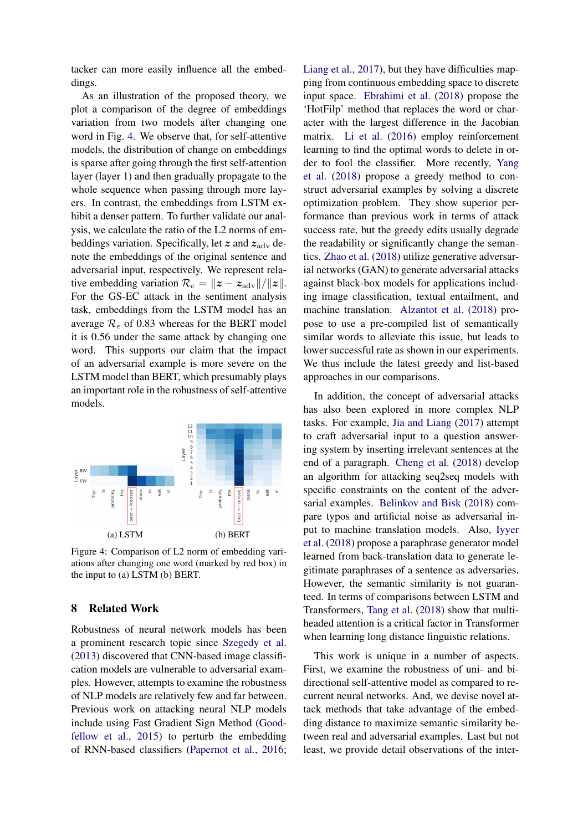tacker can more easily influence all the embeddings.

As an illustration of the proposed theory, we plot a comparison of the degree of embeddings variation from two models after changing one word in Fig. [4.](#page-7-0) We observe that, for self-attentive models, the distribution of change on embeddings is sparse after going through the first self-attention layer (layer 1) and then gradually propagate to the whole sequence when passing through more layers. In contrast, the embeddings from LSTM exhibit a denser pattern. To further validate our analysis, we calculate the ratio of the L2 norms of embeddings variation. Specifically, let  $z$  and  $z_{\text{adv}}$  denote the embeddings of the original sentence and adversarial input, respectively. We represent relative embedding variation  $\mathcal{R}_e = ||z - z_{\text{adv}}|| / ||z||$ . For the GS-EC attack in the sentiment analysis task, embeddings from the LSTM model has an average  $\mathcal{R}_e$  of 0.83 whereas for the BERT model it is 0.56 under the same attack by changing one word. This supports our claim that the impact of an adversarial example is more severe on the LSTM model than BERT, which presumably plays an important role in the robustness of self-attentive models.

<span id="page-7-0"></span>

Figure 4: Comparison of L2 norm of embedding variations after changing one word (marked by red box) in the input to (a) LSTM (b) BERT.

### 8 Related Work

Robustness of neural network models has been a prominent research topic since [Szegedy et al.](#page-9-7) [\(2013\)](#page-9-7) discovered that CNN-based image classification models are vulnerable to adversarial examples. However, attempts to examine the robustness of NLP models are relatively few and far between. Previous work on attacking neural NLP models include using Fast Gradient Sign Method [\(Good](#page-8-1)[fellow et al.,](#page-8-1) [2015\)](#page-8-1) to perturb the embedding of RNN-based classifiers [\(Papernot et al.,](#page-9-8) [2016;](#page-9-8) [Liang et al.,](#page-8-9) [2017\)](#page-8-9), but they have difficulties mapping from continuous embedding space to discrete input space. [Ebrahimi et al.](#page-8-10) [\(2018\)](#page-8-10) propose the 'HotFilp' method that replaces the word or character with the largest difference in the Jacobian matrix. [Li et al.](#page-8-11) [\(2016\)](#page-8-11) employ reinforcement learning to find the optimal words to delete in order to fool the classifier. More recently, [Yang](#page-9-3) [et al.](#page-9-3) [\(2018\)](#page-9-3) propose a greedy method to construct adversarial examples by solving a discrete optimization problem. They show superior performance than previous work in terms of attack success rate, but the greedy edits usually degrade the readability or significantly change the semantics. [Zhao et al.](#page-9-9) [\(2018\)](#page-9-9) utilize generative adversarial networks (GAN) to generate adversarial attacks against black-box models for applications including image classification, textual entailment, and machine translation. [Alzantot et al.](#page-8-2) [\(2018\)](#page-8-2) propose to use a pre-compiled list of semantically similar words to alleviate this issue, but leads to lower successful rate as shown in our experiments. We thus include the latest greedy and list-based approaches in our comparisons.

In addition, the concept of adversarial attacks has also been explored in more complex NLP tasks. For example, [Jia and Liang](#page-8-12) [\(2017\)](#page-8-12) attempt to craft adversarial input to a question answering system by inserting irrelevant sentences at the end of a paragraph. [Cheng et al.](#page-8-7) [\(2018\)](#page-8-7) develop an algorithm for attacking seq2seq models with specific constraints on the content of the adversarial examples. [Belinkov and Bisk](#page-8-8) [\(2018\)](#page-8-8) compare typos and artificial noise as adversarial input to machine translation models. Also, [Iyyer](#page-8-13) [et al.](#page-8-13) [\(2018\)](#page-8-13) propose a paraphrase generator model learned from back-translation data to generate legitimate paraphrases of a sentence as adversaries. However, the semantic similarity is not guaranteed. In terms of comparisons between LSTM and Transformers, [Tang et al.](#page-9-10) [\(2018\)](#page-9-10) show that multiheaded attention is a critical factor in Transformer when learning long distance linguistic relations.

This work is unique in a number of aspects. First, we examine the robustness of uni- and bidirectional self-attentive model as compared to recurrent neural networks. And, we devise novel attack methods that take advantage of the embedding distance to maximize semantic similarity between real and adversarial examples. Last but not least, we provide detail observations of the inter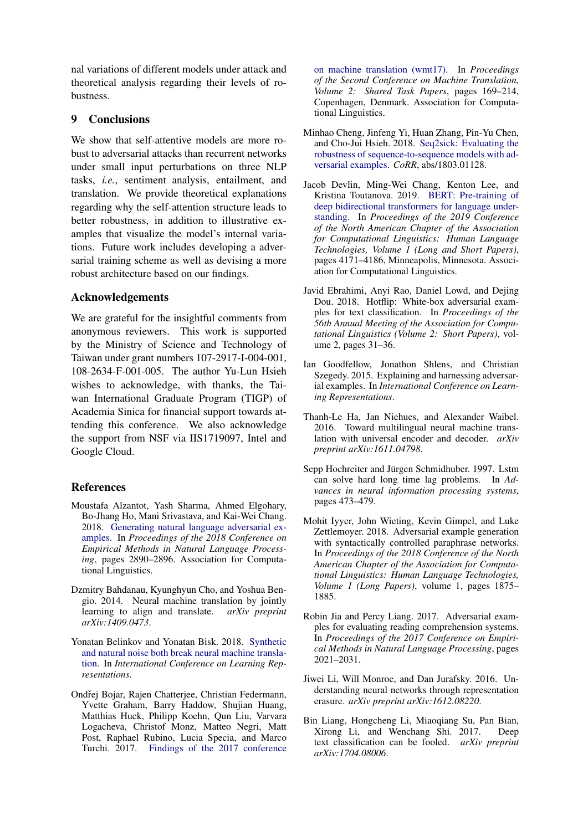nal variations of different models under attack and theoretical analysis regarding their levels of robustness.

### 9 Conclusions

We show that self-attentive models are more robust to adversarial attacks than recurrent networks under small input perturbations on three NLP tasks, *i.e.*, sentiment analysis, entailment, and translation. We provide theoretical explanations regarding why the self-attention structure leads to better robustness, in addition to illustrative examples that visualize the model's internal variations. Future work includes developing a adversarial training scheme as well as devising a more robust architecture based on our findings.

### Acknowledgements

We are grateful for the insightful comments from anonymous reviewers. This work is supported by the Ministry of Science and Technology of Taiwan under grant numbers 107-2917-I-004-001, 108-2634-F-001-005. The author Yu-Lun Hsieh wishes to acknowledge, with thanks, the Taiwan International Graduate Program (TIGP) of Academia Sinica for financial support towards attending this conference. We also acknowledge the support from NSF via IIS1719097, Intel and Google Cloud.

#### References

- <span id="page-8-2"></span>Moustafa Alzantot, Yash Sharma, Ahmed Elgohary, Bo-Jhang Ho, Mani Srivastava, and Kai-Wei Chang. 2018. [Generating natural language adversarial ex](http://aclweb.org/anthology/D18-1316)[amples.](http://aclweb.org/anthology/D18-1316) In *Proceedings of the 2018 Conference on Empirical Methods in Natural Language Processing*, pages 2890–2896. Association for Computational Linguistics.
- <span id="page-8-4"></span>Dzmitry Bahdanau, Kyunghyun Cho, and Yoshua Bengio. 2014. Neural machine translation by jointly learning to align and translate. *arXiv preprint arXiv:1409.0473*.
- <span id="page-8-8"></span>Yonatan Belinkov and Yonatan Bisk. 2018. [Synthetic](https://openreview.net/forum?id=BJ8vJebC-) [and natural noise both break neural machine transla](https://openreview.net/forum?id=BJ8vJebC-)[tion.](https://openreview.net/forum?id=BJ8vJebC-) In *International Conference on Learning Representations*.
- <span id="page-8-5"></span>Ondřej Bojar, Rajen Chatterjee, Christian Federmann, Yvette Graham, Barry Haddow, Shujian Huang, Matthias Huck, Philipp Koehn, Qun Liu, Varvara Logacheva, Christof Monz, Matteo Negri, Matt Post, Raphael Rubino, Lucia Specia, and Marco Turchi. 2017. [Findings of the 2017 conference](http://www.aclweb.org/anthology/W17-4717)

[on machine translation \(wmt17\).](http://www.aclweb.org/anthology/W17-4717) In *Proceedings of the Second Conference on Machine Translation, Volume 2: Shared Task Papers*, pages 169–214, Copenhagen, Denmark. Association for Computational Linguistics.

- <span id="page-8-7"></span>Minhao Cheng, Jinfeng Yi, Huan Zhang, Pin-Yu Chen, and Cho-Jui Hsieh. 2018. [Seq2sick: Evaluating the](http://arxiv.org/abs/1803.01128) [robustness of sequence-to-sequence models with ad](http://arxiv.org/abs/1803.01128)[versarial examples.](http://arxiv.org/abs/1803.01128) *CoRR*, abs/1803.01128.
- <span id="page-8-0"></span>Jacob Devlin, Ming-Wei Chang, Kenton Lee, and Kristina Toutanova. 2019. [BERT: Pre-training of](https://www.aclweb.org/anthology/N19-1423) [deep bidirectional transformers for language under](https://www.aclweb.org/anthology/N19-1423)[standing.](https://www.aclweb.org/anthology/N19-1423) In *Proceedings of the 2019 Conference of the North American Chapter of the Association for Computational Linguistics: Human Language Technologies, Volume 1 (Long and Short Papers)*, pages 4171–4186, Minneapolis, Minnesota. Association for Computational Linguistics.
- <span id="page-8-10"></span>Javid Ebrahimi, Anyi Rao, Daniel Lowd, and Dejing Dou. 2018. Hotflip: White-box adversarial examples for text classification. In *Proceedings of the 56th Annual Meeting of the Association for Computational Linguistics (Volume 2: Short Papers)*, volume 2, pages 31–36.
- <span id="page-8-1"></span>Ian Goodfellow, Jonathon Shlens, and Christian Szegedy. 2015. Explaining and harnessing adversarial examples. In *International Conference on Learning Representations*.
- <span id="page-8-6"></span>Thanh-Le Ha, Jan Niehues, and Alexander Waibel. 2016. Toward multilingual neural machine translation with universal encoder and decoder. *arXiv preprint arXiv:1611.04798*.
- <span id="page-8-3"></span>Sepp Hochreiter and Jürgen Schmidhuber. 1997. Lstm can solve hard long time lag problems. In *Advances in neural information processing systems*, pages 473–479.
- <span id="page-8-13"></span>Mohit Iyyer, John Wieting, Kevin Gimpel, and Luke Zettlemoyer. 2018. Adversarial example generation with syntactically controlled paraphrase networks. In *Proceedings of the 2018 Conference of the North American Chapter of the Association for Computational Linguistics: Human Language Technologies, Volume 1 (Long Papers)*, volume 1, pages 1875– 1885.
- <span id="page-8-12"></span>Robin Jia and Percy Liang. 2017. Adversarial examples for evaluating reading comprehension systems. In *Proceedings of the 2017 Conference on Empirical Methods in Natural Language Processing*, pages 2021–2031.
- <span id="page-8-11"></span>Jiwei Li, Will Monroe, and Dan Jurafsky. 2016. Understanding neural networks through representation erasure. *arXiv preprint arXiv:1612.08220*.
- <span id="page-8-9"></span>Bin Liang, Hongcheng Li, Miaoqiang Su, Pan Bian, Xirong Li, and Wenchang Shi. 2017. Deep text classification can be fooled. *arXiv preprint arXiv:1704.08006*.